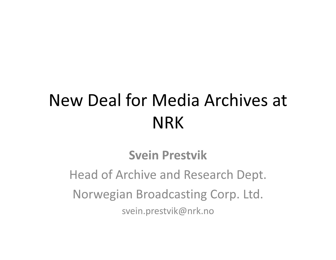## New Deal for Media Archives at NRK

#### Svein Prestvik

Head of Archive and Research Dept.Norwegian Broadcasting Corp. Ltd. svein.prestvik@nrk.no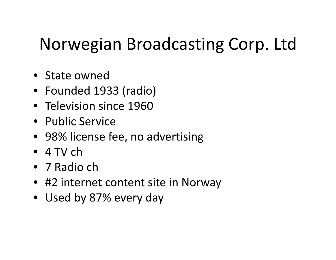# Norwegian Broadcasting Corp. Ltd

- State owned
- Founded 1933 (radio)
- Television since <sup>1960</sup>
- Public Service
- 98% license fee, no advertising
- 4 TV ch
- 7 Radio ch
- #2 internet content site in Norway
- Used by 87% every day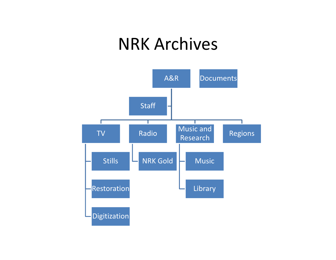#### NRK Archives

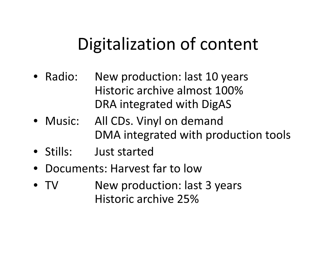### Digitalization of content

- Radio: New production: last 10 years Historic archive almost 100%DRA integrated with DigAS
- Music: All CDs. Vinyl on demand DMA integrated with production tools
- Stills: Just started
- •Documents: Harvest far to low
- V Mew production: last 3 years • TVHistoric archive 25%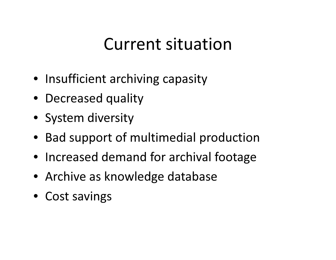#### Current situation

- Insufficient archiving capasity
- Decreased quality
- System diversity
- Bad support of multimedial production
- Increased demand for archival footage
- Archive as knowledge database
- Cost savings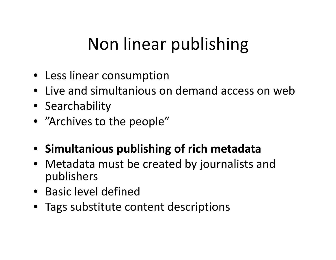# Non linear publishing

- Less linear consumption
- Live and simultanious on demand access on web
- Searchability
- "Archives to the people"
- Simultanious publishing of rich metadata
- Metadata must be created by journalists and publishers
- Basic level defined
- Tags substitute content descriptions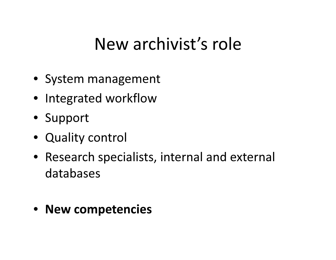#### New archivist's role

- System management
- Integrated workflow
- Support
- Quality control
- Research specialists, internal and external databases
- New competencies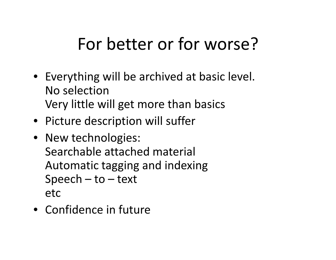## For better or for worse?

- Everything will be archived at basic level. No selectionVery little will get more than basics
- Picture description will suffer
- New technologies: Searchable attached materialAutomatic tagging and indexing $Speech - to - text$ etc
- Confidence in future